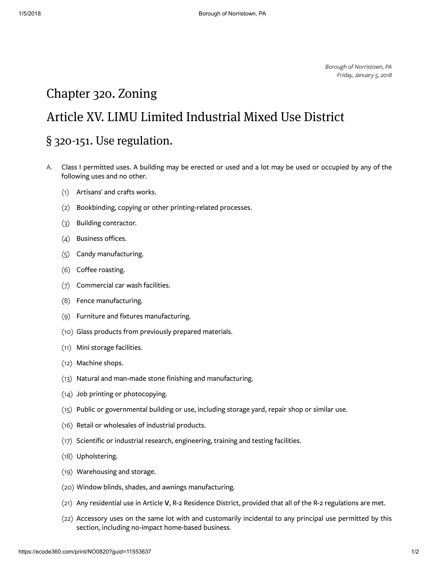Borough of Norristown, PA Friday, January 5, 2018

## <span id="page-0-0"></span>Chapter [320. Zoning](#page-0-0)

## <span id="page-0-1"></span>Article [XV. LIMU Limited](#page-0-1) Industrial Mixed Use District

## <span id="page-0-2"></span>§ 320-151. Use [regulation.](#page-0-2)

- [A.](https://ecode360.com/print/11553638#11553638) Class I permitted uses. A building may be erected or used and a lot may be used or occupied by any of the following uses and no other.
	- [\(1\)](https://ecode360.com/print/29100501#29100501) Artisans' and crafts works.
	- [\(2\)](https://ecode360.com/print/29100502#29100502) Bookbinding, copying or other printing-related processes.
	- [\(3\)](https://ecode360.com/print/29100503#29100503) Building contractor.
	- [\(4\)](https://ecode360.com/print/29100504#29100504) Business offices.
	- [\(5\)](https://ecode360.com/print/29100505#29100505) Candy manufacturing.
	- [\(6\)](https://ecode360.com/print/29100506#29100506) Coffee roasting.
	- [\(7\)](https://ecode360.com/print/29100507#29100507) Commercial car wash facilities.
	- [\(8\)](https://ecode360.com/print/29100508#29100508) Fence manufacturing.
	- [\(9\)](https://ecode360.com/print/29100509#29100509) Furniture and fixtures manufacturing.
	- [\(10\)](https://ecode360.com/print/29100510#29100510) Glass products from previously prepared materials.
	- [\(11\)](https://ecode360.com/print/29100511#29100511) Mini storage facilities.
	- [\(12\)](https://ecode360.com/print/29100512#29100512) Machine shops.
	- [\(13\)](https://ecode360.com/print/29100513#29100513) Natural and man-made stone finishing and manufacturing.
	- [\(14\)](https://ecode360.com/print/29100514#29100514) Job printing or photocopying.
	- [\(15\)](https://ecode360.com/print/29100515#29100515) Public or governmental building or use, including storage yard, repair shop or similar use.
	- [\(16\)](https://ecode360.com/print/29100516#29100516) Retail or wholesales of industrial products.
	- [\(17\)](https://ecode360.com/print/29100517#29100517) Scientific or industrial research, engineering, training and testing facilities.
	- [\(18\)](https://ecode360.com/print/29100518#29100518) Upholstering.
	- [\(19\)](https://ecode360.com/print/29100519#29100519) Warehousing and storage.
	- [\(20\)](https://ecode360.com/print/29100520#29100520) Window blinds, shades, and awnings manufacturing.
	- [\(21\)](https://ecode360.com/print/29100521#29100521) Any residential use in Article [V](https://ecode360.com/print/11553076#11553076), R-2 Residence District, provided that all of the R-2 regulations are met.
	- [\(22\)](https://ecode360.com/print/29100522#29100522) Accessory uses on the same lot with and customarily incidental to any principal use permitted by this section, including no-impact home-based business.